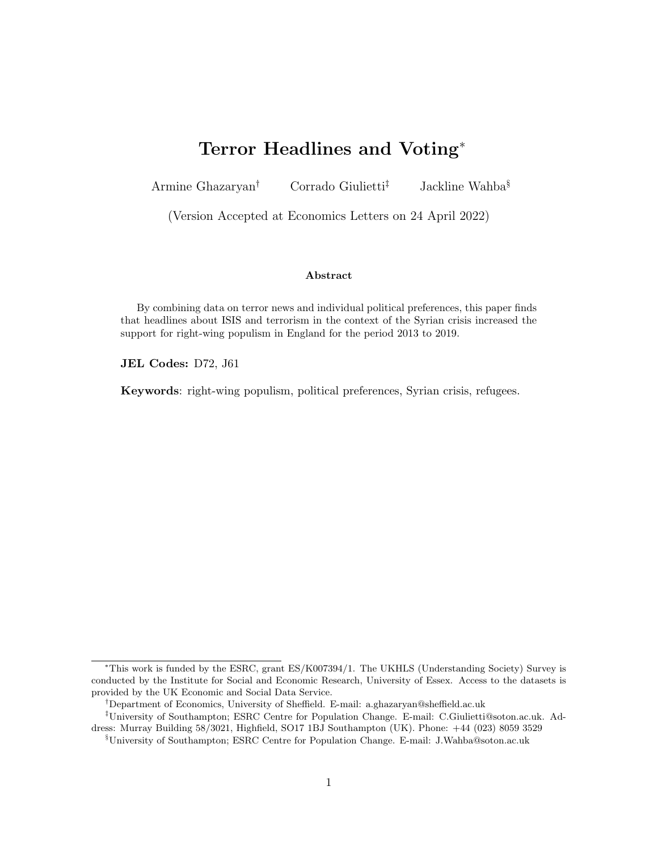# Terror Headlines and Voting<sup>∗</sup>

<span id="page-0-0"></span>Armine Ghazaryan<sup>†</sup> Corrado Giulietti<sup>‡</sup> Jackline Wahba<sup>§</sup>

(Version Accepted at Economics Letters on 24 April 2022)

#### Abstract

By combining data on terror news and individual political preferences, this paper finds that headlines about ISIS and terrorism in the context of the Syrian crisis increased the support for right-wing populism in England for the period 2013 to 2019.

JEL Codes: D72, J61

Keywords: right-wing populism, political preferences, Syrian crisis, refugees.

<sup>∗</sup>This work is funded by the ESRC, grant ES/K007394/1. The UKHLS (Understanding Society) Survey is conducted by the Institute for Social and Economic Research, University of Essex. Access to the datasets is provided by the UK Economic and Social Data Service.

<sup>†</sup>Department of Economics, University of Sheffield. E-mail: a.ghazaryan@sheffield.ac.uk

<sup>‡</sup>University of Southampton; ESRC Centre for Population Change. E-mail: C.Giulietti@soton.ac.uk. Address: Murray Building 58/3021, Highfield, SO17 1BJ Southampton (UK). Phone: +44 (023) 8059 3529

<sup>§</sup>University of Southampton; ESRC Centre for Population Change. E-mail: J.Wahba@soton.ac.uk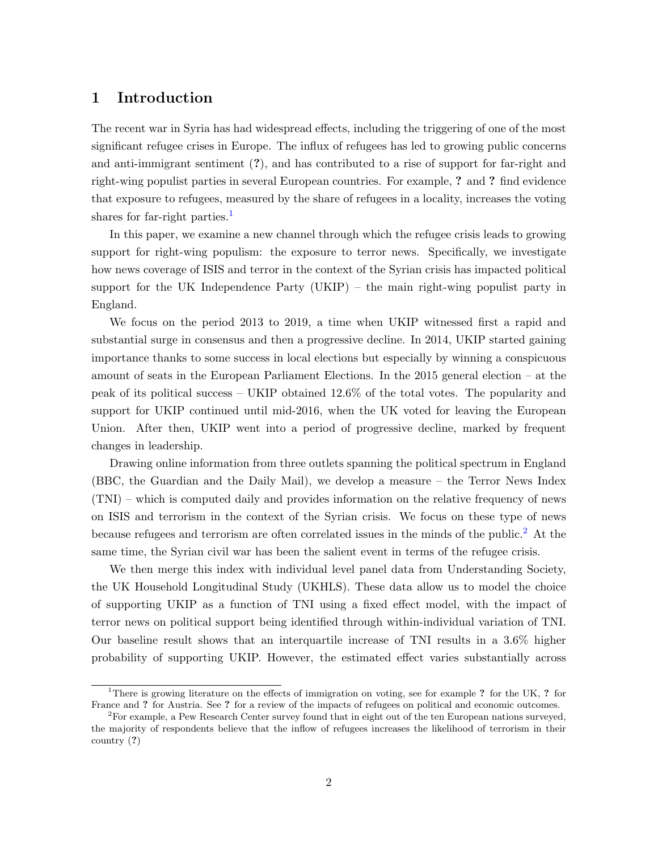### 1 Introduction

The recent war in Syria has had widespread effects, including the triggering of one of the most significant refugee crises in Europe. The influx of refugees has led to growing public concerns and anti-immigrant sentiment (?), and has contributed to a rise of support for far-right and right-wing populist parties in several European countries. For example, ? and ? find evidence that exposure to refugees, measured by the share of refugees in a locality, increases the voting shares for far-right parties.<sup>[1](#page-0-0)</sup>

In this paper, we examine a new channel through which the refugee crisis leads to growing support for right-wing populism: the exposure to terror news. Specifically, we investigate how news coverage of ISIS and terror in the context of the Syrian crisis has impacted political support for the UK Independence Party (UKIP) – the main right-wing populist party in England.

We focus on the period 2013 to 2019, a time when UKIP witnessed first a rapid and substantial surge in consensus and then a progressive decline. In 2014, UKIP started gaining importance thanks to some success in local elections but especially by winning a conspicuous amount of seats in the European Parliament Elections. In the 2015 general election – at the peak of its political success – UKIP obtained 12.6% of the total votes. The popularity and support for UKIP continued until mid-2016, when the UK voted for leaving the European Union. After then, UKIP went into a period of progressive decline, marked by frequent changes in leadership.

Drawing online information from three outlets spanning the political spectrum in England (BBC, the Guardian and the Daily Mail), we develop a measure – the Terror News Index (TNI) – which is computed daily and provides information on the relative frequency of news on ISIS and terrorism in the context of the Syrian crisis. We focus on these type of news because refugees and terrorism are often correlated issues in the minds of the public.<sup>[2](#page-0-0)</sup> At the same time, the Syrian civil war has been the salient event in terms of the refugee crisis.

We then merge this index with individual level panel data from Understanding Society, the UK Household Longitudinal Study (UKHLS). These data allow us to model the choice of supporting UKIP as a function of TNI using a fixed effect model, with the impact of terror news on political support being identified through within-individual variation of TNI. Our baseline result shows that an interquartile increase of TNI results in a 3.6% higher probability of supporting UKIP. However, the estimated effect varies substantially across

<sup>&</sup>lt;sup>1</sup>There is growing literature on the effects of immigration on voting, see for example ? for the UK, ? for France and ? for Austria. See ? for a review of the impacts of refugees on political and economic outcomes.

<sup>2</sup>For example, a Pew Research Center survey found that in eight out of the ten European nations surveyed, the majority of respondents believe that the inflow of refugees increases the likelihood of terrorism in their country (?)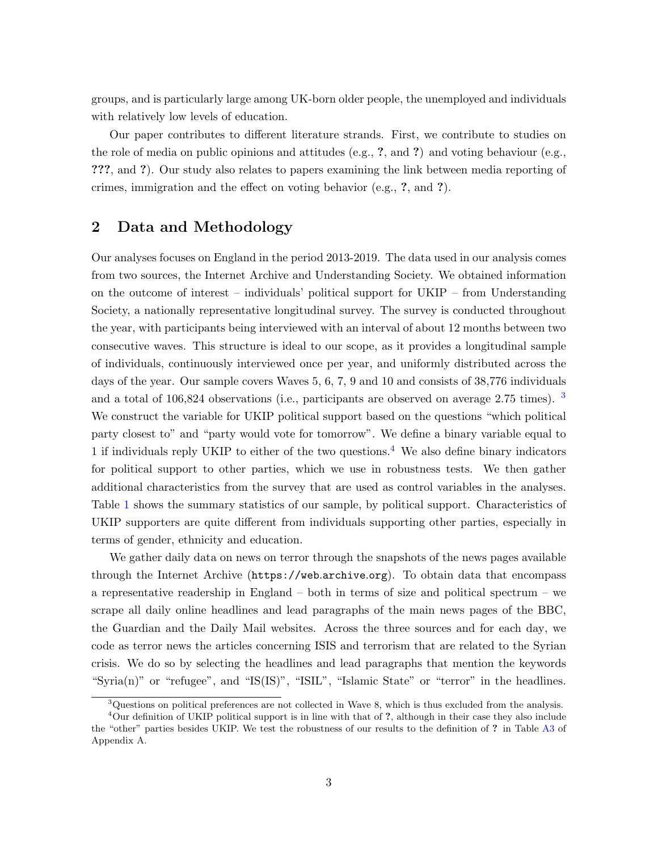groups, and is particularly large among UK-born older people, the unemployed and individuals with relatively low levels of education.

Our paper contributes to different literature strands. First, we contribute to studies on the role of media on public opinions and attitudes (e.g.,  $\hat{z}$ , and  $\hat{z}$ ) and voting behaviour (e.g., ???, and ?). Our study also relates to papers examining the link between media reporting of crimes, immigration and the effect on voting behavior (e.g., ?, and ?).

# 2 Data and Methodology

Our analyses focuses on England in the period 2013-2019. The data used in our analysis comes from two sources, the Internet Archive and Understanding Society. We obtained information on the outcome of interest – individuals' political support for UKIP – from Understanding Society, a nationally representative longitudinal survey. The survey is conducted throughout the year, with participants being interviewed with an interval of about 12 months between two consecutive waves. This structure is ideal to our scope, as it provides a longitudinal sample of individuals, continuously interviewed once per year, and uniformly distributed across the days of the year. Our sample covers Waves 5, 6, 7, 9 and 10 and consists of 38,776 individuals and a total of 106,824 observations (i.e., participants are observed on average 2.75 times). [3](#page-0-0) We construct the variable for UKIP political support based on the questions "which political party closest to" and "party would vote for tomorrow". We define a binary variable equal to 1 if individuals reply UKIP to either of the two questions.<sup>[4](#page-0-0)</sup> We also define binary indicators for political support to other parties, which we use in robustness tests. We then gather additional characteristics from the survey that are used as control variables in the analyses. Table [1](#page-3-0) shows the summary statistics of our sample, by political support. Characteristics of UKIP supporters are quite different from individuals supporting other parties, especially in terms of gender, ethnicity and education.

We gather daily data on news on terror through the snapshots of the news pages available through the Internet Archive ([https://web](https://web.archive.org).archive.org). To obtain data that encompass a representative readership in England – both in terms of size and political spectrum – we scrape all daily online headlines and lead paragraphs of the main news pages of the BBC, the Guardian and the Daily Mail websites. Across the three sources and for each day, we code as terror news the articles concerning ISIS and terrorism that are related to the Syrian crisis. We do so by selecting the headlines and lead paragraphs that mention the keywords "Syria(n)" or "refugee", and "IS(IS)", "ISIL", "Islamic State" or "terror" in the headlines.

 $3\Omega$ uestions on political preferences are not collected in Wave 8, which is thus excluded from the analysis.

<sup>&</sup>lt;sup>4</sup>Our definition of UKIP political support is in line with that of ?, although in their case they also include the "other" parties besides UKIP. We test the robustness of our results to the definition of ? in Table [A3](#page-11-0) of Appendix A.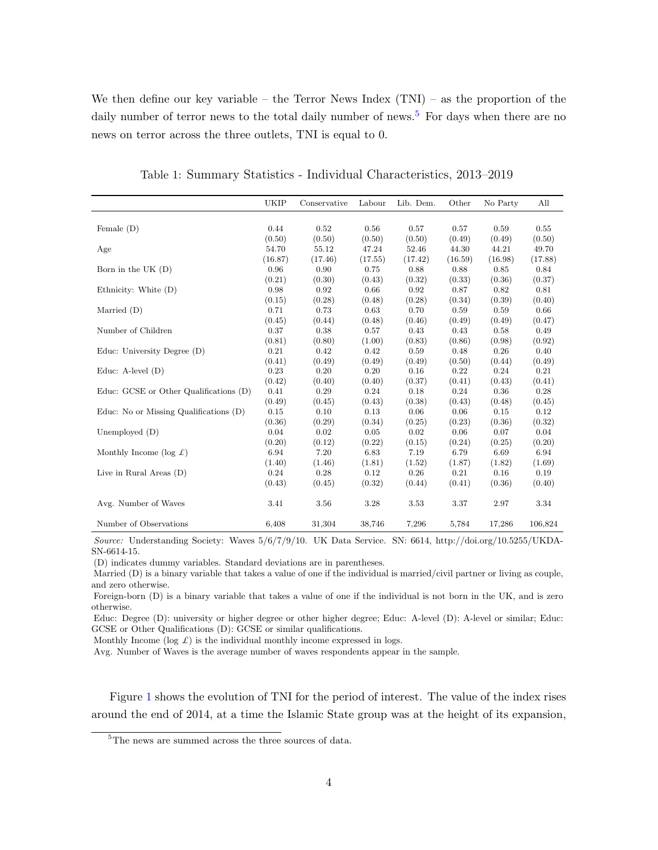We then define our key variable – the Terror News Index  $(TNI)$  – as the proportion of the daily number of terror news to the total daily number of news.<sup>[5](#page-0-0)</sup> For days when there are no news on terror across the three outlets, TNI is equal to 0.

<span id="page-3-0"></span>

|                                          | <b>UKIP</b> | Conservative | Labour  | Lib. Dem. | Other   | No Party | All     |
|------------------------------------------|-------------|--------------|---------|-----------|---------|----------|---------|
|                                          |             |              |         |           |         |          |         |
| Female $(D)$                             | 0.44        | 0.52         | 0.56    | 0.57      | 0.57    | 0.59     | 0.55    |
|                                          | (0.50)      | (0.50)       | (0.50)  | (0.50)    | (0.49)  | (0.49)   | (0.50)  |
| Age                                      | 54.70       | 55.12        | 47.24   | 52.46     | 44.30   | 44.21    | 49.70   |
|                                          | (16.87)     | (17.46)      | (17.55) | (17.42)   | (16.59) | (16.98)  | (17.88) |
| Born in the UK $(D)$                     | 0.96        | 0.90         | 0.75    | 0.88      | 0.88    | 0.85     | 0.84    |
|                                          | (0.21)      | (0.30)       | (0.43)  | (0.32)    | (0.33)  | (0.36)   | (0.37)  |
| Ethnicity: White $(D)$                   | 0.98        | 0.92         | 0.66    | 0.92      | 0.87    | 0.82     | 0.81    |
|                                          | (0.15)      | (0.28)       | (0.48)  | (0.28)    | (0.34)  | (0.39)   | (0.40)  |
| Married $(D)$                            | 0.71        | 0.73         | 0.63    | 0.70      | 0.59    | 0.59     | 0.66    |
|                                          | (0.45)      | (0.44)       | (0.48)  | (0.46)    | (0.49)  | (0.49)   | (0.47)  |
| Number of Children                       | 0.37        | 0.38         | 0.57    | 0.43      | 0.43    | 0.58     | 0.49    |
|                                          | (0.81)      | (0.80)       | (1.00)  | (0.83)    | (0.86)  | (0.98)   | (0.92)  |
| Educ: University Degree (D)              | 0.21        | 0.42         | 0.42    | 0.59      | 0.48    | 0.26     | 0.40    |
|                                          | (0.41)      | (0.49)       | (0.49)  | (0.49)    | (0.50)  | (0.44)   | (0.49)  |
| Educ: A-level $(D)$                      | 0.23        | 0.20         | 0.20    | 0.16      | 0.22    | 0.24     | 0.21    |
|                                          | (0.42)      | (0.40)       | (0.40)  | (0.37)    | (0.41)  | (0.43)   | (0.41)  |
| Educ: GCSE or Other Qualifications (D)   | 0.41        | 0.29         | 0.24    | 0.18      | 0.24    | 0.36     | 0.28    |
|                                          | (0.49)      | (0.45)       | (0.43)  | (0.38)    | (0.43)  | (0.48)   | (0.45)  |
| Educ: No or Missing Qualifications $(D)$ | 0.15        | 0.10         | 0.13    | 0.06      | 0.06    | 0.15     | 0.12    |
|                                          | (0.36)      | (0.29)       | (0.34)  | (0.25)    | (0.23)  | (0.36)   | (0.32)  |
| Unemployed $(D)$                         | 0.04        | 0.02         | 0.05    | 0.02      | 0.06    | 0.07     | 0.04    |
|                                          | (0.20)      | (0.12)       | (0.22)  | (0.15)    | (0.24)  | (0.25)   | (0.20)  |
| Monthly Income (log $\pounds$ )          | 6.94        | 7.20         | 6.83    | 7.19      | 6.79    | 6.69     | 6.94    |
|                                          | (1.40)      | (1.46)       | (1.81)  | (1.52)    | (1.87)  | (1.82)   | (1.69)  |
| Live in Rural Areas $(D)$                | 0.24        | 0.28         | 0.12    | 0.26      | 0.21    | 0.16     | 0.19    |
|                                          | (0.43)      | (0.45)       | (0.32)  | (0.44)    | (0.41)  | (0.36)   | (0.40)  |
| Avg. Number of Waves                     | 3.41        | 3.56         | 3.28    | 3.53      | 3.37    | 2.97     | 3.34    |
| Number of Observations                   | 6,408       | 31,304       | 38,746  | 7,296     | 5,784   | 17,286   | 106,824 |

Table 1: Summary Statistics - Individual Characteristics, 2013–2019

Source: Understanding Society: Waves 5/6/7/9/10. UK Data Service. SN: 6614, http://doi.org/10.5255/UKDA-SN-6614-15.

(D) indicates dummy variables. Standard deviations are in parentheses.

Married (D) is a binary variable that takes a value of one if the individual is married/civil partner or living as couple, and zero otherwise.

Foreign-born (D) is a binary variable that takes a value of one if the individual is not born in the UK, and is zero otherwise.

Educ: Degree (D): university or higher degree or other higher degree; Educ: A-level (D): A-level or similar; Educ: GCSE or Other Qualifications (D): GCSE or similar qualifications.

Monthly Income (log  $\mathcal{L}$ ) is the individual monthly income expressed in logs.

Avg. Number of Waves is the average number of waves respondents appear in the sample.

Figure [1](#page-4-0) shows the evolution of TNI for the period of interest. The value of the index rises around the end of 2014, at a time the Islamic State group was at the height of its expansion,

<sup>&</sup>lt;sup>5</sup>The news are summed across the three sources of data.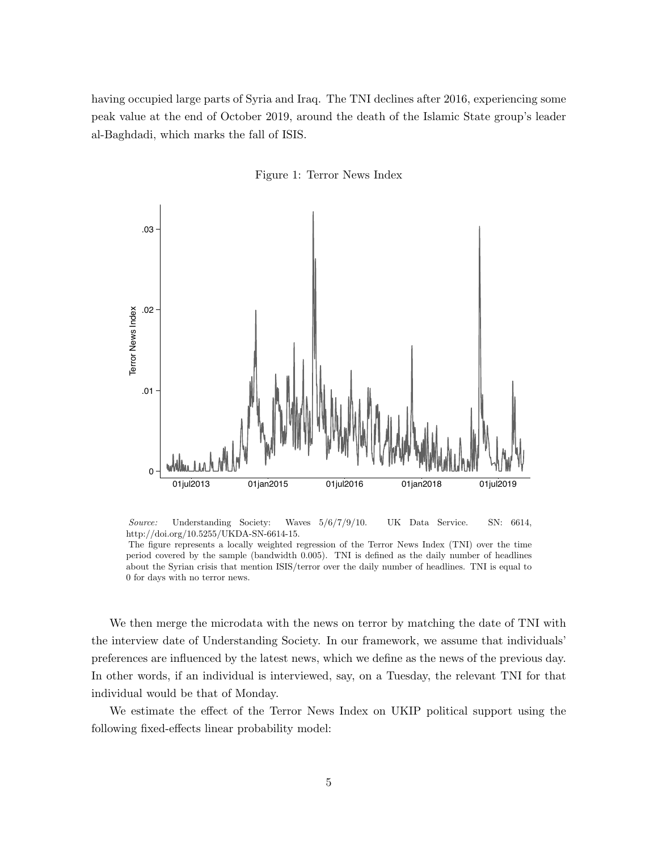having occupied large parts of Syria and Iraq. The TNI declines after 2016, experiencing some peak value at the end of October 2019, around the death of the Islamic State group's leader al-Baghdadi, which marks the fall of ISIS.



<span id="page-4-0"></span>

Source: Understanding Society: Waves 5/6/7/9/10. UK Data Service. SN: 6614, http://doi.org/10.5255/UKDA-SN-6614-15.

The figure represents a locally weighted regression of the Terror News Index (TNI) over the time period covered by the sample (bandwidth 0.005). TNI is defined as the daily number of headlines about the Syrian crisis that mention ISIS/terror over the daily number of headlines. TNI is equal to 0 for days with no terror news.

We then merge the microdata with the news on terror by matching the date of TNI with the interview date of Understanding Society. In our framework, we assume that individuals' preferences are influenced by the latest news, which we define as the news of the previous day. In other words, if an individual is interviewed, say, on a Tuesday, the relevant TNI for that individual would be that of Monday.

We estimate the effect of the Terror News Index on UKIP political support using the following fixed-effects linear probability model: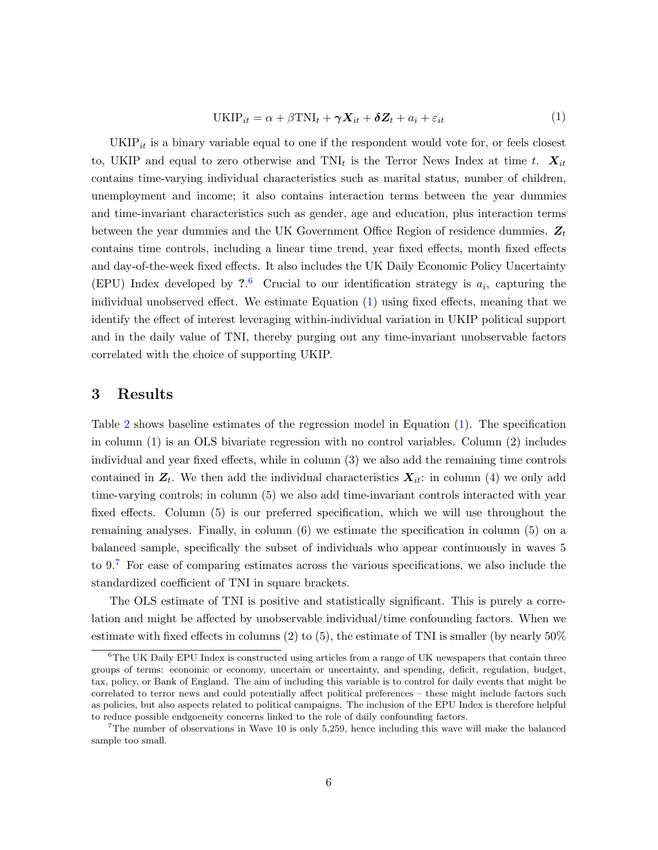<span id="page-5-0"></span>
$$
UKIP_{it} = \alpha + \beta TNI_t + \gamma X_{it} + \delta Z_t + a_i + \varepsilon_{it}
$$
\n(1)

 $UKIP<sub>it</sub>$  is a binary variable equal to one if the respondent would vote for, or feels closest to, UKIP and equal to zero otherwise and  $\text{TNI}_t$  is the Terror News Index at time t.  $X_{it}$ contains time-varying individual characteristics such as marital status, number of children, unemployment and income; it also contains interaction terms between the year dummies and time-invariant characteristics such as gender, age and education, plus interaction terms between the year dummies and the UK Government Office Region of residence dummies.  $Z_t$ contains time controls, including a linear time trend, year fixed effects, month fixed effects and day-of-the-week fixed effects. It also includes the UK Daily Economic Policy Uncertainty (EPU) Index developed by  $2.6$  $2.6$  Crucial to our identification strategy is  $a_i$ , capturing the individual unobserved effect. We estimate Equation [\(1\)](#page-5-0) using fixed effects, meaning that we identify the effect of interest leveraging within-individual variation in UKIP political support and in the daily value of TNI, thereby purging out any time-invariant unobservable factors correlated with the choice of supporting UKIP.

### 3 Results

Table [2](#page-6-0) shows baseline estimates of the regression model in Equation [\(1\)](#page-5-0). The specification in column (1) is an OLS bivariate regression with no control variables. Column (2) includes individual and year fixed effects, while in column (3) we also add the remaining time controls contained in  $Z_t$ . We then add the individual characteristics  $X_{it}$ : in column (4) we only add time-varying controls; in column (5) we also add time-invariant controls interacted with year fixed effects. Column (5) is our preferred specification, which we will use throughout the remaining analyses. Finally, in column (6) we estimate the specification in column (5) on a balanced sample, specifically the subset of individuals who appear continuously in waves 5 to  $9.7$  $9.7$  For ease of comparing estimates across the various specifications, we also include the standardized coefficient of TNI in square brackets.

The OLS estimate of TNI is positive and statistically significant. This is purely a correlation and might be affected by unobservable individual/time confounding factors. When we estimate with fixed effects in columns  $(2)$  to  $(5)$ , the estimate of TNI is smaller (by nearly  $50\%$ 

 ${}^{6}$ The UK Daily EPU Index is constructed using articles from a range of UK newspapers that contain three groups of terms: economic or economy, uncertain or uncertainty, and spending, deficit, regulation, budget, tax, policy, or Bank of England. The aim of including this variable is to control for daily events that might be correlated to terror news and could potentially affect political preferences – these might include factors such as policies, but also aspects related to political campaigns. The inclusion of the EPU Index is therefore helpful to reduce possible endgoeneity concerns linked to the role of daily confounding factors.

<sup>7</sup>The number of observations in Wave 10 is only 5,259, hence including this wave will make the balanced sample too small.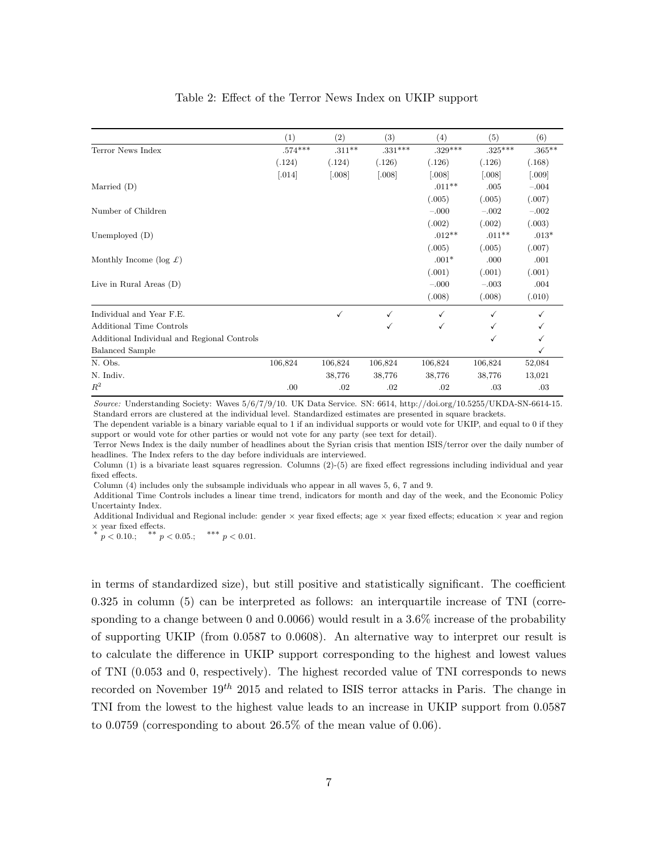#### Table 2: Effect of the Terror News Index on UKIP support

<span id="page-6-0"></span>

|                                             | (1)                  | (2)          | (3)       | (4)          | (5)       | (6)       |
|---------------------------------------------|----------------------|--------------|-----------|--------------|-----------|-----------|
| Terror News Index                           | $.574***$            | $.311**$     | $.331***$ | $.329***$    | $.325***$ | $.365***$ |
|                                             | (.124)               | (.124)       | (.126)    | (.126)       | (.126)    | (.168)    |
|                                             | $\left[ .014\right]$ | [.008]       | [.008]    | [.008]       | [.008]    | [.009]    |
| Married $(D)$                               |                      |              |           | $.011**$     | .005      | $-.004$   |
|                                             |                      |              |           | (.005)       | (.005)    | (.007)    |
| Number of Children                          |                      |              |           | $-.000$      | $-.002$   | $-.002$   |
|                                             |                      |              |           | (.002)       | (.002)    | (.003)    |
| Unemployed $(D)$                            |                      |              |           | $.012**$     | $.011**$  | $.013*$   |
|                                             |                      |              |           | (.005)       | (.005)    | (.007)    |
| Monthly Income (log $\mathcal{L}$ )         |                      |              |           | $.001*$      | .000      | .001      |
|                                             |                      |              |           | (.001)       | (.001)    | (.001)    |
| Live in Rural Areas $(D)$                   |                      |              |           | $-.000$      | $-.003$   | .004      |
|                                             |                      |              |           | (.008)       | (.008)    | (.010)    |
| Individual and Year F.E.                    |                      | $\checkmark$ | ✓         | $\checkmark$ |           |           |
| <b>Additional Time Controls</b>             |                      |              |           | √            |           |           |
| Additional Individual and Regional Controls |                      |              |           |              |           |           |
| <b>Balanced Sample</b>                      |                      |              |           |              |           | ✓         |
| N. Obs.                                     | 106,824              | 106,824      | 106,824   | 106,824      | 106,824   | 52,084    |
| N. Indiv.                                   |                      | 38,776       | 38,776    | 38,776       | 38,776    | 13,021    |
| $R^2$                                       | .00                  | .02          | .02       | .02          | .03       | .03       |

Source: Understanding Society: Waves 5/6/7/9/10. UK Data Service. SN: 6614, http://doi.org/10.5255/UKDA-SN-6614-15. Standard errors are clustered at the individual level. Standardized estimates are presented in square brackets.

The dependent variable is a binary variable equal to 1 if an individual supports or would vote for UKIP, and equal to 0 if they support or would vote for other parties or would not vote for any party (see text for detail).

Terror News Index is the daily number of headlines about the Syrian crisis that mention ISIS/terror over the daily number of headlines. The Index refers to the day before individuals are interviewed.

Column (1) is a bivariate least squares regression. Columns (2)-(5) are fixed effect regressions including individual and year fixed effects.

Column (4) includes only the subsample individuals who appear in all waves 5, 6, 7 and 9.

Additional Time Controls includes a linear time trend, indicators for month and day of the week, and the Economic Policy Uncertainty Index.

Additional Individual and Regional include: gender  $\times$  year fixed effects; age  $\times$  year fixed effects; education  $\times$  year and region  $\times$  year fixed effects.<br>
<sup>∗</sup> *p* < 0.10.; <sup>\*</sup> *r* < 0.05.; <sup>\*\*\*</sup> *p* < 0.01.

in terms of standardized size), but still positive and statistically significant. The coefficient 0.325 in column (5) can be interpreted as follows: an interquartile increase of TNI (corresponding to a change between 0 and 0.0066) would result in a  $3.6\%$  increase of the probability of supporting UKIP (from 0.0587 to 0.0608). An alternative way to interpret our result is to calculate the difference in UKIP support corresponding to the highest and lowest values of TNI (0.053 and 0, respectively). The highest recorded value of TNI corresponds to news recorded on November  $19^{th}$  2015 and related to ISIS terror attacks in Paris. The change in TNI from the lowest to the highest value leads to an increase in UKIP support from 0.0587 to 0.0759 (corresponding to about 26.5% of the mean value of 0.06).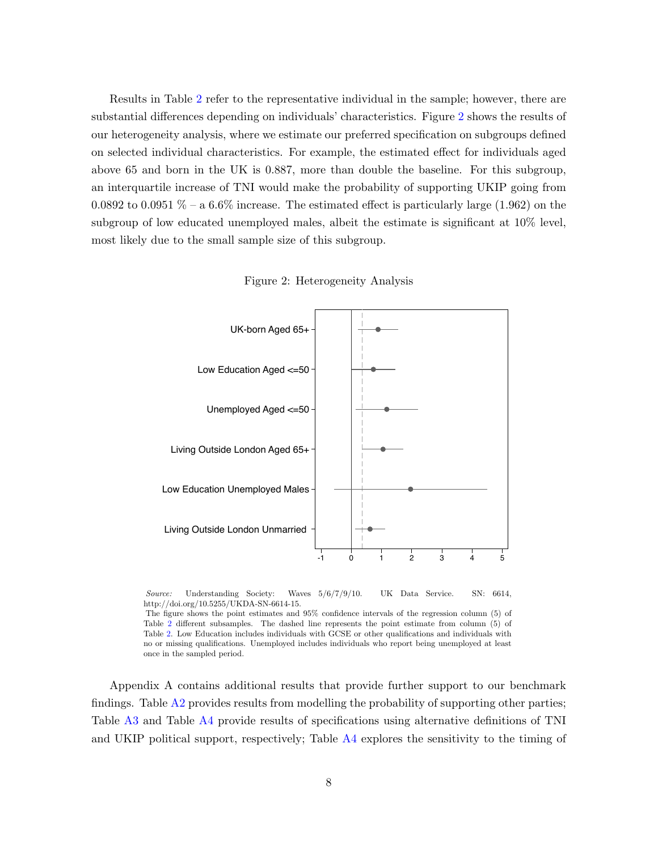Results in Table [2](#page-6-0) refer to the representative individual in the sample; however, there are substantial differences depending on individuals' characteristics. Figure [2](#page-7-0) shows the results of our heterogeneity analysis, where we estimate our preferred specification on subgroups defined on selected individual characteristics. For example, the estimated effect for individuals aged above 65 and born in the UK is 0.887, more than double the baseline. For this subgroup, an interquartile increase of TNI would make the probability of supporting UKIP going from 0.0892 to 0.0951  $\%$  – a 6.6% increase. The estimated effect is particularly large (1.962) on the subgroup of low educated unemployed males, albeit the estimate is significant at 10% level, most likely due to the small sample size of this subgroup.



Figure 2: Heterogeneity Analysis

<span id="page-7-0"></span>

Source: Understanding Society: Waves  $5/6/7/9/10$ . UK Data Service. SN: 6614, http://doi.org/10.5255/UKDA-SN-6614-15.

The figure shows the point estimates and 95% confidence intervals of the regression column (5) of Table [2](#page-6-0) different subsamples. The dashed line represents the point estimate from column (5) of Table [2.](#page-6-0) Low Education includes individuals with GCSE or other qualifications and individuals with no or missing qualifications. Unemployed includes individuals who report being unemployed at least once in the sampled period.

Appendix A contains additional results that provide further support to our benchmark findings. Table [A2](#page-10-0) provides results from modelling the probability of supporting other parties; Table [A3](#page-11-0) and Table [A4](#page-13-0) provide results of specifications using alternative definitions of TNI and UKIP political support, respectively; Table [A4](#page-13-0) explores the sensitivity to the timing of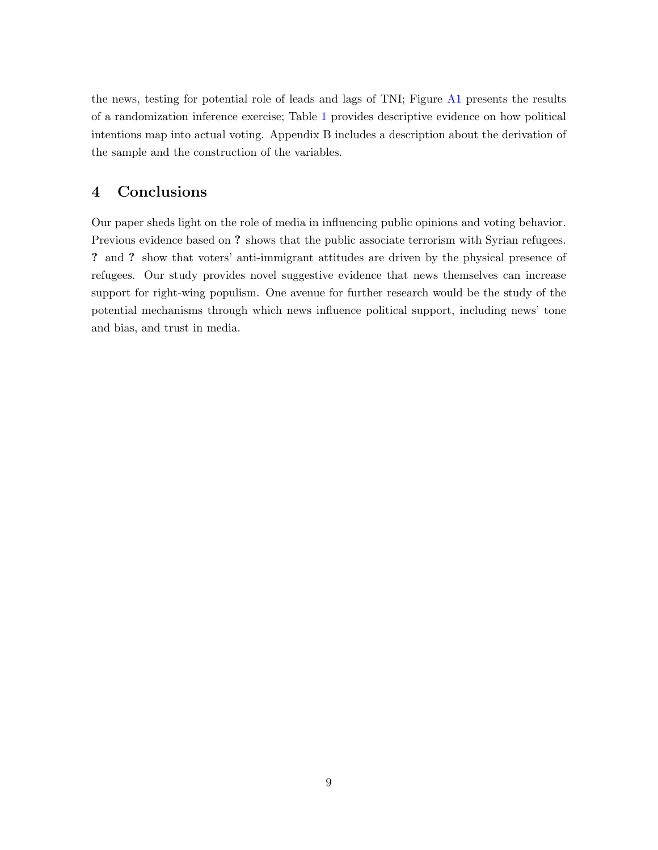the news, testing for potential role of leads and lags of TNI; Figure [A1](#page-16-0) presents the results of a randomization inference exercise; Table [1](#page-3-0) provides descriptive evidence on how political intentions map into actual voting. Appendix B includes a description about the derivation of the sample and the construction of the variables.

# 4 Conclusions

Our paper sheds light on the role of media in influencing public opinions and voting behavior. Previous evidence based on ? shows that the public associate terrorism with Syrian refugees. ? and ? show that voters' anti-immigrant attitudes are driven by the physical presence of refugees. Our study provides novel suggestive evidence that news themselves can increase support for right-wing populism. One avenue for further research would be the study of the potential mechanisms through which news influence political support, including news' tone and bias, and trust in media.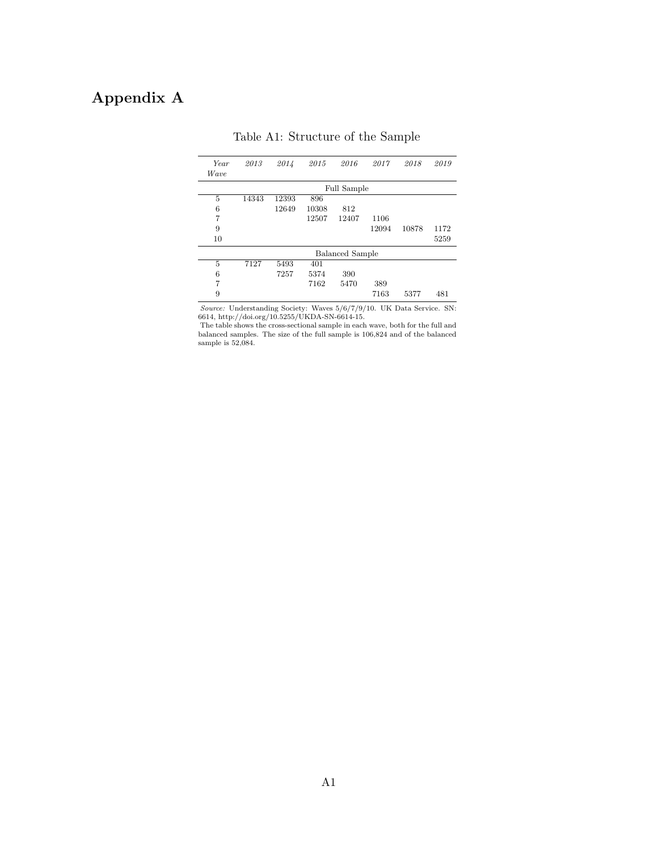# Appendix A

| Year<br><i>Wave</i> | 2013  | 2014  | 2015  | 2016                   | 2017  | 2018  | 2019 |
|---------------------|-------|-------|-------|------------------------|-------|-------|------|
|                     |       |       |       | <b>Full Sample</b>     |       |       |      |
| 5                   | 14343 | 12393 | 896   |                        |       |       |      |
| 6                   |       | 12649 | 10308 | 812                    |       |       |      |
| 7                   |       |       | 12507 | 12407                  | 1106  |       |      |
| 9                   |       |       |       |                        | 12094 | 10878 | 1172 |
| 10                  |       |       |       |                        |       |       | 5259 |
|                     |       |       |       | <b>Balanced Sample</b> |       |       |      |
| 5                   | 7127  | 5493  | 401   |                        |       |       |      |
| 6                   |       | 7257  | 5374  | 390                    |       |       |      |
| 7                   |       |       | 7162  | 5470                   | 389   |       |      |
| 9                   |       |       |       |                        | 7163  | 5377  | 481  |

Table A1: Structure of the Sample

Source: Understanding Society: Waves 5/6/7/9/10. UK Data Service. SN: 6614, http://doi.org/10.5255/UKDA-SN-6614-15.

The table shows the cross-sectional sample in each wave, both for the full and balanced samples. The size of the full sample is 106,824 and of the balanced sample is  $52,084$ .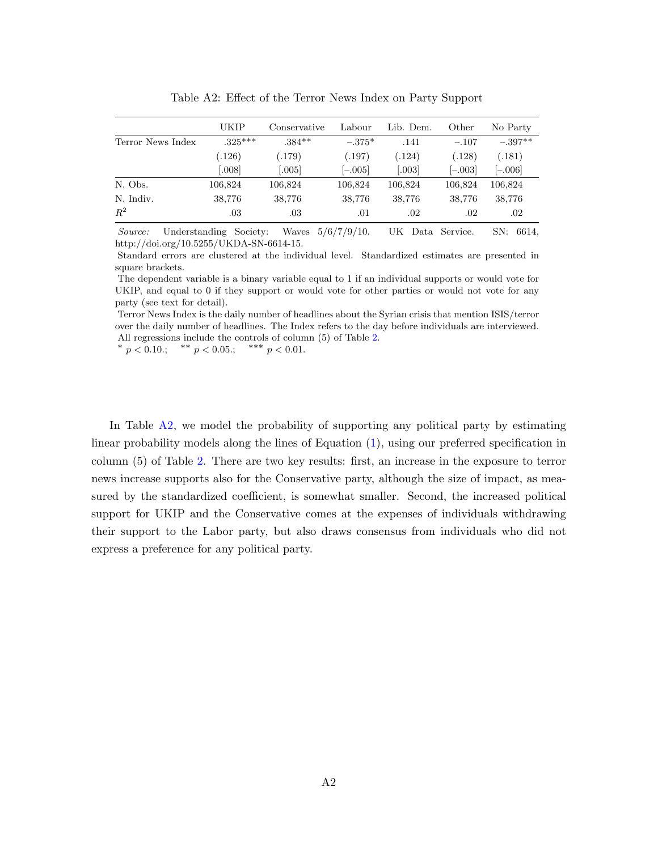<span id="page-10-0"></span>

|                   | UKIP      | Conservative | Labour    | Lib. Dem. | Other     | No Party  |
|-------------------|-----------|--------------|-----------|-----------|-----------|-----------|
| Terror News Index | $.325***$ | $.384**$     | $-.375*$  | .141      | $-.107$   | $-.397**$ |
|                   | (0.126)   | (.179)       | (.197)    | (124)     | (0.128)   | .181)     |
|                   | .008]     | 0.005        | $[-.005]$ | 003       | $[-.003]$ | $[-.006]$ |
| N. Obs.           | 106,824   | 106,824      | 106,824   | 106,824   | 106,824   | 106,824   |
| N. Indiv.         | 38,776    | 38,776       | 38,776    | 38,776    | 38,776    | 38,776    |
| $R^2$             | .03       | .03          | .01       | .02       | .02       | .02       |

Table A2: Effect of the Terror News Index on Party Support

Source: Understanding Society: Waves 5/6/7/9/10. UK Data Service. SN: 6614, http://doi.org/10.5255/UKDA-SN-6614-15.

Standard errors are clustered at the individual level. Standardized estimates are presented in square brackets.

The dependent variable is a binary variable equal to 1 if an individual supports or would vote for UKIP, and equal to 0 if they support or would vote for other parties or would not vote for any party (see text for detail).

Terror News Index is the daily number of headlines about the Syrian crisis that mention ISIS/terror over the daily number of headlines. The Index refers to the day before individuals are interviewed. All regressions include the controls of column (5) of Table [2.](#page-6-0)

\*  $p < 0.10$ .; \*\*  $p < 0.05$ .; \*\*\*  $p < 0.01$ .

In Table [A2,](#page-10-0) we model the probability of supporting any political party by estimating linear probability models along the lines of Equation [\(1\)](#page-5-0), using our preferred specification in column (5) of Table [2.](#page-6-0) There are two key results: first, an increase in the exposure to terror news increase supports also for the Conservative party, although the size of impact, as measured by the standardized coefficient, is somewhat smaller. Second, the increased political support for UKIP and the Conservative comes at the expenses of individuals withdrawing their support to the Labor party, but also draws consensus from individuals who did not express a preference for any political party.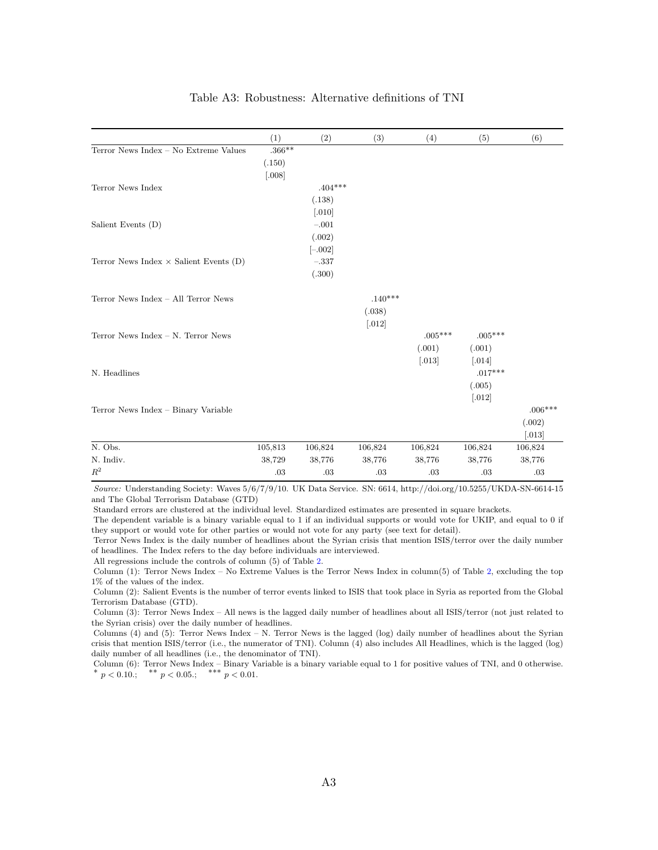### Table A3: Robustness: Alternative definitions of TNI

<span id="page-11-0"></span>

|                                               | (1)      | (2)                   | (3)                  | (4)                  | (5)       | (6)                  |
|-----------------------------------------------|----------|-----------------------|----------------------|----------------------|-----------|----------------------|
| Terror News Index - No Extreme Values         | $.366**$ |                       |                      |                      |           |                      |
|                                               | (.150)   |                       |                      |                      |           |                      |
|                                               | [.008]   |                       |                      |                      |           |                      |
| Terror News Index                             |          | $.404***$             |                      |                      |           |                      |
|                                               |          | (.138)                |                      |                      |           |                      |
|                                               |          | $\left[ .010 \right]$ |                      |                      |           |                      |
| Salient Events (D)                            |          | $-.001$               |                      |                      |           |                      |
|                                               |          | (.002)                |                      |                      |           |                      |
|                                               |          | $[-.002]$             |                      |                      |           |                      |
| Terror News Index $\times$ Salient Events (D) |          | $-.337$               |                      |                      |           |                      |
|                                               |          | (.300)                |                      |                      |           |                      |
| Terror News Index - All Terror News           |          |                       | $.140***$            |                      |           |                      |
|                                               |          |                       | (.038)               |                      |           |                      |
|                                               |          |                       | $\left[ .012\right]$ |                      |           |                      |
| Terror News Index - N. Terror News            |          |                       |                      | $.005***$            | $.005***$ |                      |
|                                               |          |                       |                      | (.001)               | (.001)    |                      |
|                                               |          |                       |                      | $\left[ .013\right]$ | [.014]    |                      |
| N. Headlines                                  |          |                       |                      |                      | $.017***$ |                      |
|                                               |          |                       |                      |                      | (.005)    |                      |
|                                               |          |                       |                      |                      | $[.012]$  |                      |
| Terror News Index - Binary Variable           |          |                       |                      |                      |           | $.006***$            |
|                                               |          |                       |                      |                      |           | (.002)               |
|                                               |          |                       |                      |                      |           | $\left[ .013\right]$ |
| N. Obs.                                       | 105,813  | 106,824               | 106,824              | 106,824              | 106,824   | 106,824              |
| N. Indiv.                                     | 38,729   | 38,776                | 38,776               | 38,776               | 38,776    | 38,776               |
| $\mathbb{R}^2$                                | .03      | .03                   | .03                  | .03                  | .03       | .03                  |

Source: Understanding Society: Waves 5/6/7/9/10. UK Data Service. SN: 6614, http://doi.org/10.5255/UKDA-SN-6614-15 and The Global Terrorism Database (GTD)

Standard errors are clustered at the individual level. Standardized estimates are presented in square brackets.

The dependent variable is a binary variable equal to 1 if an individual supports or would vote for UKIP, and equal to 0 if they support or would vote for other parties or would not vote for any party (see text for detail).

Terror News Index is the daily number of headlines about the Syrian crisis that mention ISIS/terror over the daily number of headlines. The Index refers to the day before individuals are interviewed.

All regressions include the controls of column (5) of Table [2.](#page-6-0)

Column (1): Terror News Index – No Extreme Values is the Terror News Index in column(5) of Table [2,](#page-6-0) excluding the top 1% of the values of the index.

Column (2): Salient Events is the number of terror events linked to ISIS that took place in Syria as reported from the Global Terrorism Database (GTD).

Column (3): Terror News Index – All news is the lagged daily number of headlines about all ISIS/terror (not just related to the Syrian crisis) over the daily number of headlines.

Columns (4) and (5): Terror News Index – N. Terror News is the lagged (log) daily number of headlines about the Syrian crisis that mention ISIS/terror (i.e., the numerator of TNI). Column (4) also includes All Headlines, which is the lagged (log) daily number of all headlines (i.e., the denominator of TNI).

Column (6): Terror News Index – Binary Variable is a binary variable equal to 1 for positive values of TNI, and 0 otherwise.<br>
\* p < 0.10.; \*\* p < 0.05.; \*\*\* p < 0.01.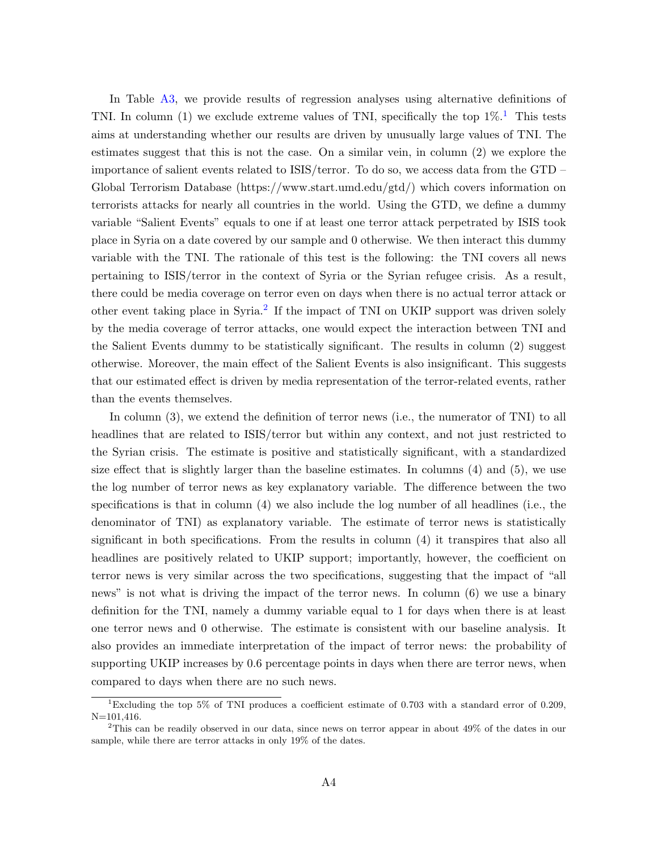In Table [A3,](#page-11-0) we provide results of regression analyses using alternative definitions of TNI. In column ([1](#page-0-0)) we exclude extreme values of TNI, specifically the top  $1\%$ <sup>1</sup>. This tests aims at understanding whether our results are driven by unusually large values of TNI. The estimates suggest that this is not the case. On a similar vein, in column (2) we explore the importance of salient events related to ISIS/terror. To do so, we access data from the GTD – Global Terrorism Database (https://www.start.umd.edu/gtd/) which covers information on terrorists attacks for nearly all countries in the world. Using the GTD, we define a dummy variable "Salient Events" equals to one if at least one terror attack perpetrated by ISIS took place in Syria on a date covered by our sample and 0 otherwise. We then interact this dummy variable with the TNI. The rationale of this test is the following: the TNI covers all news pertaining to ISIS/terror in the context of Syria or the Syrian refugee crisis. As a result, there could be media coverage on terror even on days when there is no actual terror attack or other event taking place in Syria.<sup>[2](#page-0-0)</sup> If the impact of TNI on UKIP support was driven solely by the media coverage of terror attacks, one would expect the interaction between TNI and the Salient Events dummy to be statistically significant. The results in column (2) suggest otherwise. Moreover, the main effect of the Salient Events is also insignificant. This suggests that our estimated effect is driven by media representation of the terror-related events, rather than the events themselves.

In column (3), we extend the definition of terror news (i.e., the numerator of TNI) to all headlines that are related to ISIS/terror but within any context, and not just restricted to the Syrian crisis. The estimate is positive and statistically significant, with a standardized size effect that is slightly larger than the baseline estimates. In columns (4) and (5), we use the log number of terror news as key explanatory variable. The difference between the two specifications is that in column (4) we also include the log number of all headlines (i.e., the denominator of TNI) as explanatory variable. The estimate of terror news is statistically significant in both specifications. From the results in column (4) it transpires that also all headlines are positively related to UKIP support; importantly, however, the coefficient on terror news is very similar across the two specifications, suggesting that the impact of "all news" is not what is driving the impact of the terror news. In column (6) we use a binary definition for the TNI, namely a dummy variable equal to 1 for days when there is at least one terror news and 0 otherwise. The estimate is consistent with our baseline analysis. It also provides an immediate interpretation of the impact of terror news: the probability of supporting UKIP increases by 0.6 percentage points in days when there are terror news, when compared to days when there are no such news.

<sup>&</sup>lt;sup>1</sup>Excluding the top 5% of TNI produces a coefficient estimate of 0.703 with a standard error of 0.209,  $N=101.416$ .

<sup>2</sup>This can be readily observed in our data, since news on terror appear in about 49% of the dates in our sample, while there are terror attacks in only 19% of the dates.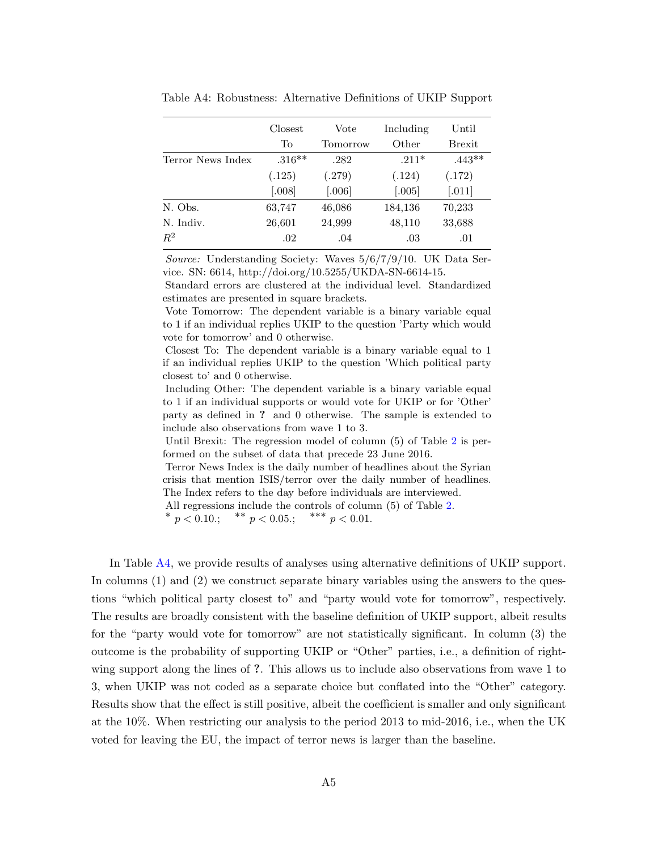|                   | Closest   | Vote     | Including | Until                |
|-------------------|-----------|----------|-----------|----------------------|
|                   | To        | Tomorrow | Other     | <b>Brexit</b>        |
| Terror News Index | $.316***$ | .282     | $.211*$   | $.443**$             |
|                   | (.125)    | (.279)   | (.124)    | (.172)               |
|                   | [.008]    | [.006]   | [.005]    | $\left[ .011\right]$ |
| N. Obs.           | 63,747    | 46,086   | 184,136   | 70,233               |
| N. Indiv.         | 26,601    | 24,999   | 48,110    | 33,688               |
| $R^2$             | .02       | .04      | .03       | .01                  |

<span id="page-13-0"></span>Table A4: Robustness: Alternative Definitions of UKIP Support

Source: Understanding Society: Waves  $5/6/7/9/10$ . UK Data Service. SN: 6614, http://doi.org/10.5255/UKDA-SN-6614-15.

Standard errors are clustered at the individual level. Standardized estimates are presented in square brackets.

Vote Tomorrow: The dependent variable is a binary variable equal to 1 if an individual replies UKIP to the question 'Party which would vote for tomorrow' and 0 otherwise.

Closest To: The dependent variable is a binary variable equal to 1 if an individual replies UKIP to the question 'Which political party closest to' and 0 otherwise.

Including Other: The dependent variable is a binary variable equal to 1 if an individual supports or would vote for UKIP or for 'Other' party as defined in ? and 0 otherwise. The sample is extended to include also observations from wave 1 to 3.

Until Brexit: The regression model of column (5) of Table [2](#page-6-0) is performed on the subset of data that precede 23 June 2016.

Terror News Index is the daily number of headlines about the Syrian crisis that mention ISIS/terror over the daily number of headlines. The Index refers to the day before individuals are interviewed.

All regressions include the controls of column (5) of Table [2.](#page-6-0)

\*  $p < 0.10$ .; \*\*  $p < 0.05$ .; \*\*\*  $p < 0.01$ .

In Table [A4,](#page-13-0) we provide results of analyses using alternative definitions of UKIP support. In columns (1) and (2) we construct separate binary variables using the answers to the questions "which political party closest to" and "party would vote for tomorrow", respectively. The results are broadly consistent with the baseline definition of UKIP support, albeit results for the "party would vote for tomorrow" are not statistically significant. In column (3) the outcome is the probability of supporting UKIP or "Other" parties, i.e., a definition of rightwing support along the lines of ?. This allows us to include also observations from wave 1 to 3, when UKIP was not coded as a separate choice but conflated into the "Other" category. Results show that the effect is still positive, albeit the coefficient is smaller and only significant at the 10%. When restricting our analysis to the period 2013 to mid-2016, i.e., when the UK voted for leaving the EU, the impact of terror news is larger than the baseline.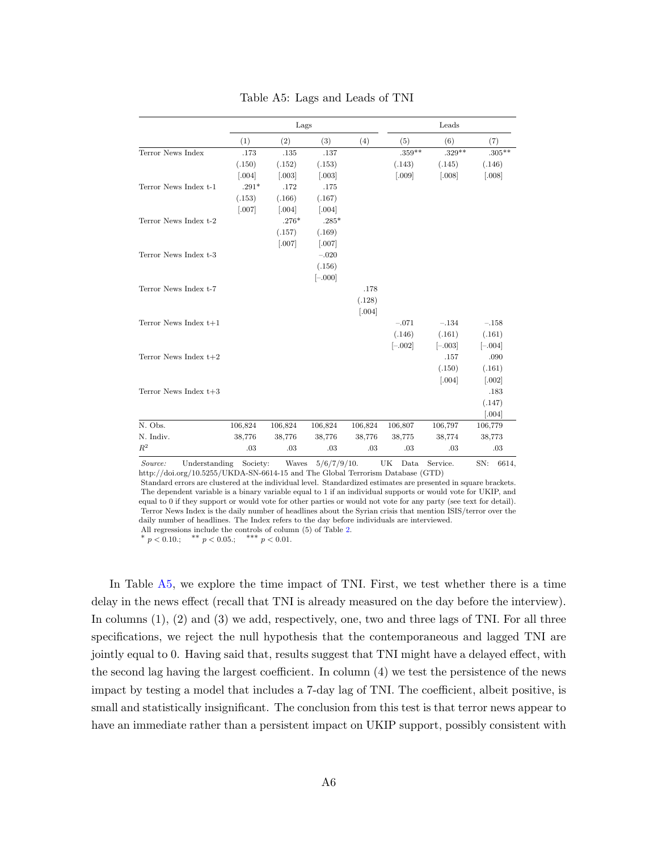<span id="page-14-0"></span>

|                         | Lags    |          |           |                      | Leads     |                      |                      |
|-------------------------|---------|----------|-----------|----------------------|-----------|----------------------|----------------------|
|                         | (1)     | (2)      | (3)       | (4)                  | (5)       | (6)                  | (7)                  |
| Terror News Index       | .173    | .135     | .137      |                      | $.359**$  | $.329**$             | $.305**$             |
|                         | (.150)  | (.152)   | (.153)    |                      | (.143)    | (.145)               | (.146)               |
|                         | [.004]  | [.003]   | [.003]    |                      | [.009]    | [.008]               | [.008]               |
| Terror News Index t-1   | $.291*$ | .172     | .175      |                      |           |                      |                      |
|                         | (.153)  | (.166)   | (.167)    |                      |           |                      |                      |
|                         | [.007]  | [.004]   | [.004]    |                      |           |                      |                      |
| Terror News Index t-2   |         | $.276*$  | $.285*$   |                      |           |                      |                      |
|                         |         | (.157)   | (.169)    |                      |           |                      |                      |
|                         |         | $[.007]$ | $[.007]$  |                      |           |                      |                      |
| Terror News Index t-3   |         |          | $-.020$   |                      |           |                      |                      |
|                         |         |          | (.156)    |                      |           |                      |                      |
|                         |         |          | $[-.000]$ |                      |           |                      |                      |
| Terror News Index t-7   |         |          |           | .178                 |           |                      |                      |
|                         |         |          |           | (.128)               |           |                      |                      |
|                         |         |          |           | $\left[ .004\right]$ |           |                      |                      |
| Terror News Index $t+1$ |         |          |           |                      | $-.071$   | $-134$               | $-158$               |
|                         |         |          |           |                      | (.146)    | (.161)               | (.161)               |
|                         |         |          |           |                      | $[-.002]$ | $[-.003]$            | $[-.004]$            |
| Terror News Index $t+2$ |         |          |           |                      |           | .157                 | .090                 |
|                         |         |          |           |                      |           | (.150)               | (.161)               |
|                         |         |          |           |                      |           | $\left[ .004\right]$ | $\left[ .002\right]$ |
| Terror News Index $t+3$ |         |          |           |                      |           |                      | .183                 |
|                         |         |          |           |                      |           |                      | (.147)               |
|                         |         |          |           |                      |           |                      | [.004]               |
| N. Obs.                 | 106,824 | 106,824  | 106,824   | 106,824              | 106,807   | 106,797              | 106,779              |
| N. Indiv.               | 38,776  | 38,776   | 38,776    | 38,776               | 38,775    | 38,774               | 38,773               |
| $R^2$                   | .03     | .03      | .03       | .03                  | .03       | .03                  | $.03\,$              |

Table A5: Lags and Leads of TNI

Source: Understanding Society: Waves  $5/6/7/9/10$ . UK Data Service. SN: 6614, http://doi.org/10.5255/UKDA-SN-6614-15 and The Global Terrorism Database (GTD)

Standard errors are clustered at the individual level. Standardized estimates are presented in square brackets. The dependent variable is a binary variable equal to 1 if an individual supports or would vote for UKIP, and equal to 0 if they support or would vote for other parties or would not vote for any party (see text for detail). Terror News Index is the daily number of headlines about the Syrian crisis that mention ISIS/terror over the daily number of headlines. The Index refers to the day before individuals are interviewed.

All regressions include the controls of column (5) of Table [2.](#page-6-0)

\*  $p < 0.10$ .; \*\*  $p < 0.05$ .; ∗∗∗ p < <sup>0</sup>.01.

In Table [A5,](#page-14-0) we explore the time impact of TNI. First, we test whether there is a time delay in the news effect (recall that TNI is already measured on the day before the interview). In columns (1), (2) and (3) we add, respectively, one, two and three lags of TNI. For all three specifications, we reject the null hypothesis that the contemporaneous and lagged TNI are jointly equal to 0. Having said that, results suggest that TNI might have a delayed effect, with the second lag having the largest coefficient. In column (4) we test the persistence of the news impact by testing a model that includes a 7-day lag of TNI. The coefficient, albeit positive, is small and statistically insignificant. The conclusion from this test is that terror news appear to have an immediate rather than a persistent impact on UKIP support, possibly consistent with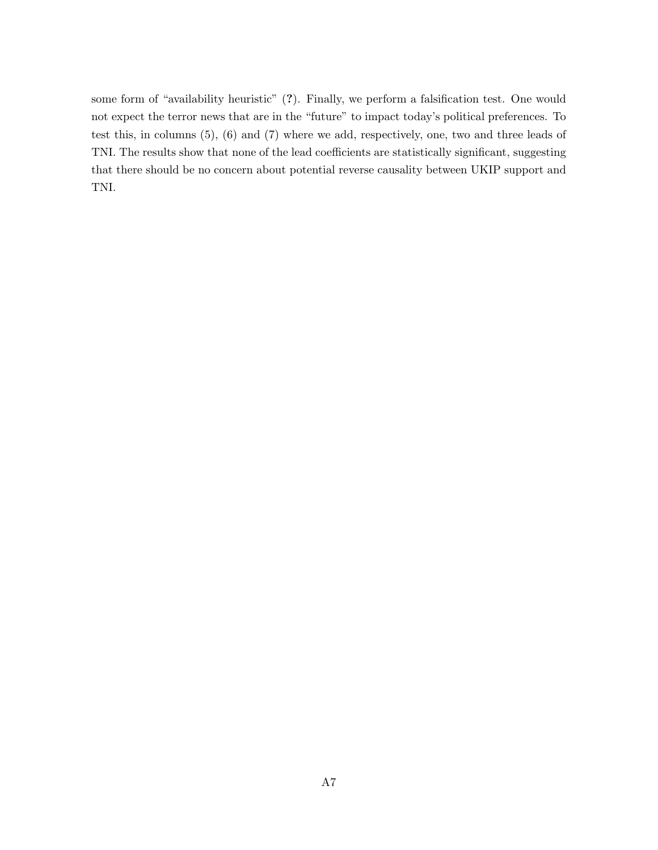some form of "availability heuristic" (?). Finally, we perform a falsification test. One would not expect the terror news that are in the "future" to impact today's political preferences. To test this, in columns (5), (6) and (7) where we add, respectively, one, two and three leads of TNI. The results show that none of the lead coefficients are statistically significant, suggesting that there should be no concern about potential reverse causality between UKIP support and TNI.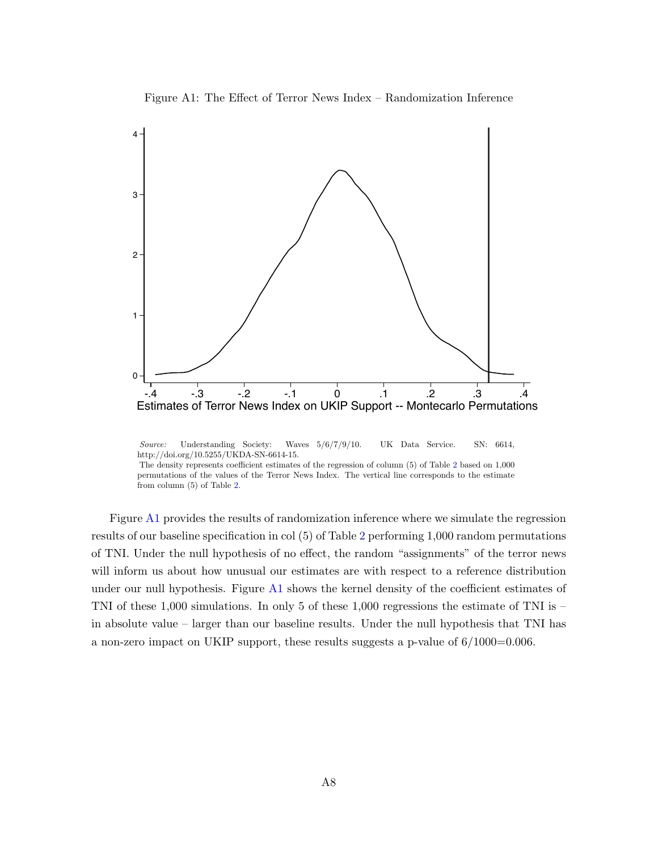

<span id="page-16-0"></span>

Source: Understanding Society: Waves 5/6/7/9/10. UK Data Service. SN: 6614, http://doi.org/10.5255/UKDA-SN-6614-15. The density represents coefficient estimates of the regression of column (5) of Table [2](#page-6-0) based on 1,000 permutations of the values of the Terror News Index. The vertical line corresponds to the estimate from column (5) of Table [2.](#page-6-0)

Figure [A1](#page-16-0) provides the results of randomization inference where we simulate the regression results of our baseline specification in col (5) of Table [2](#page-6-0) performing 1,000 random permutations of TNI. Under the null hypothesis of no effect, the random "assignments" of the terror news will inform us about how unusual our estimates are with respect to a reference distribution under our null hypothesis. Figure [A1](#page-16-0) shows the kernel density of the coefficient estimates of TNI of these 1,000 simulations. In only 5 of these 1,000 regressions the estimate of TNI is – in absolute value – larger than our baseline results. Under the null hypothesis that TNI has a non-zero impact on UKIP support, these results suggests a p-value of 6/1000=0.006.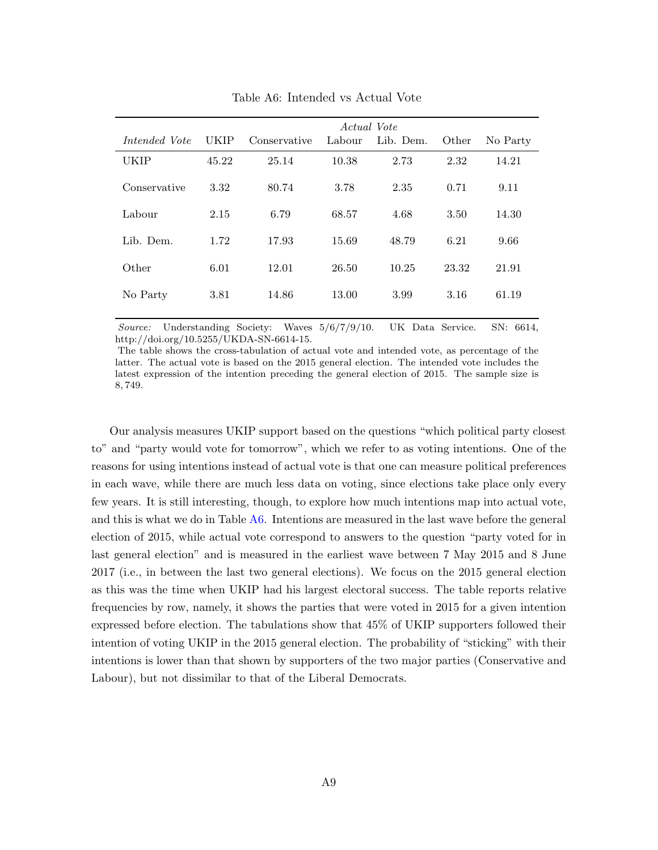<span id="page-17-0"></span>

|             | Actual Vote  |        |           |       |          |  |  |  |  |
|-------------|--------------|--------|-----------|-------|----------|--|--|--|--|
| <b>UKIP</b> | Conservative | Labour | Lib. Dem. | Other | No Party |  |  |  |  |
| 45.22       | 25.14        | 10.38  | 2.73      | 2.32  | 14.21    |  |  |  |  |
| 3.32        | 80.74        | 3.78   | 2.35      | 0.71  | 9.11     |  |  |  |  |
| 2.15        | 6.79         | 68.57  | 4.68      | 3.50  | 14.30    |  |  |  |  |
| 1.72        | 17.93        | 15.69  | 48.79     | 6.21  | 9.66     |  |  |  |  |
| 6.01        | 12.01        | 26.50  | 10.25     | 23.32 | 21.91    |  |  |  |  |
| 3.81        | 14.86        | 13.00  | 3.99      | 3.16  | 61.19    |  |  |  |  |
|             |              |        |           |       |          |  |  |  |  |

Table A6: Intended vs Actual Vote

Source: Understanding Society: Waves 5/6/7/9/10. UK Data Service. SN: 6614, http://doi.org/10.5255/UKDA-SN-6614-15.

The table shows the cross-tabulation of actual vote and intended vote, as percentage of the latter. The actual vote is based on the 2015 general election. The intended vote includes the latest expression of the intention preceding the general election of 2015. The sample size is 8, 749.

Our analysis measures UKIP support based on the questions "which political party closest to" and "party would vote for tomorrow", which we refer to as voting intentions. One of the reasons for using intentions instead of actual vote is that one can measure political preferences in each wave, while there are much less data on voting, since elections take place only every few years. It is still interesting, though, to explore how much intentions map into actual vote, and this is what we do in Table [A6.](#page-17-0) Intentions are measured in the last wave before the general election of 2015, while actual vote correspond to answers to the question "party voted for in last general election" and is measured in the earliest wave between 7 May 2015 and 8 June 2017 (i.e., in between the last two general elections). We focus on the 2015 general election as this was the time when UKIP had his largest electoral success. The table reports relative frequencies by row, namely, it shows the parties that were voted in 2015 for a given intention expressed before election. The tabulations show that 45% of UKIP supporters followed their intention of voting UKIP in the 2015 general election. The probability of "sticking" with their intentions is lower than that shown by supporters of the two major parties (Conservative and Labour), but not dissimilar to that of the Liberal Democrats.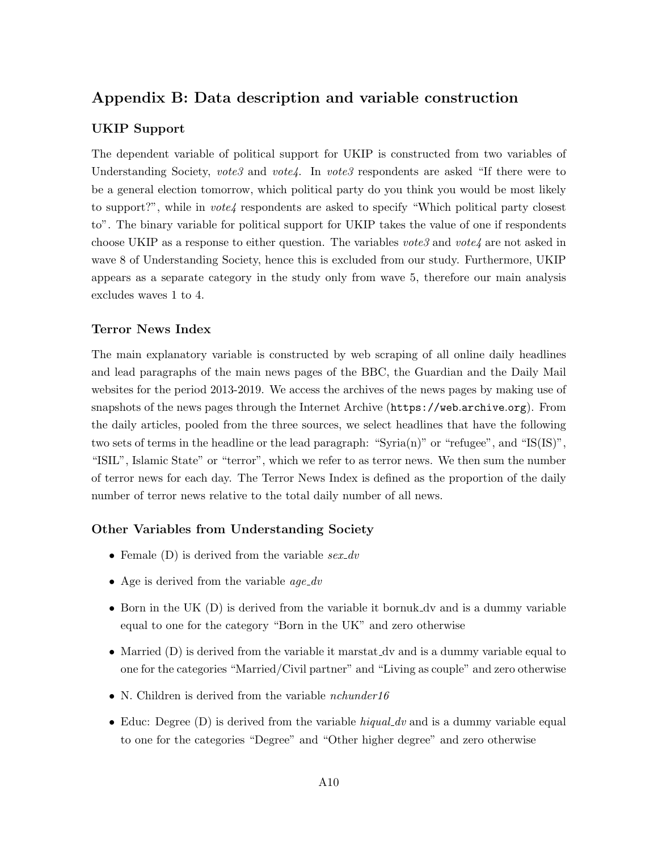# Appendix B: Data description and variable construction

### UKIP Support

The dependent variable of political support for UKIP is constructed from two variables of Understanding Society, vote3 and vote4. In vote3 respondents are asked "If there were to be a general election tomorrow, which political party do you think you would be most likely to support?", while in  $\textit{vote4}$  respondents are asked to specify "Which political party closest to". The binary variable for political support for UKIP takes the value of one if respondents choose UKIP as a response to either question. The variables votes and vote  $4$  are not asked in wave 8 of Understanding Society, hence this is excluded from our study. Furthermore, UKIP appears as a separate category in the study only from wave 5, therefore our main analysis excludes waves 1 to 4.

### Terror News Index

The main explanatory variable is constructed by web scraping of all online daily headlines and lead paragraphs of the main news pages of the BBC, the Guardian and the Daily Mail websites for the period 2013-2019. We access the archives of the news pages by making use of snapshots of the news pages through the Internet Archive ([https://web](https://web.archive.org).archive.org). From the daily articles, pooled from the three sources, we select headlines that have the following two sets of terms in the headline or the lead paragraph: "Syria(n)" or "refugee", and "IS(IS)", "ISIL", Islamic State" or "terror", which we refer to as terror news. We then sum the number of terror news for each day. The Terror News Index is defined as the proportion of the daily number of terror news relative to the total daily number of all news.

### Other Variables from Understanding Society

- Female  $(D)$  is derived from the variable  $sex\_dv$
- Age is derived from the variable  $age\_dv$
- Born in the UK (D) is derived from the variable it bornuk dv and is a dummy variable equal to one for the category "Born in the UK" and zero otherwise
- Married (D) is derived from the variable it marstat  $\Delta v$  and is a dummy variable equal to one for the categories "Married/Civil partner" and "Living as couple" and zero otherwise
- N. Children is derived from the variable *nchunder16*
- Educ: Degree (D) is derived from the variable higual dv and is a dummy variable equal to one for the categories "Degree" and "Other higher degree" and zero otherwise